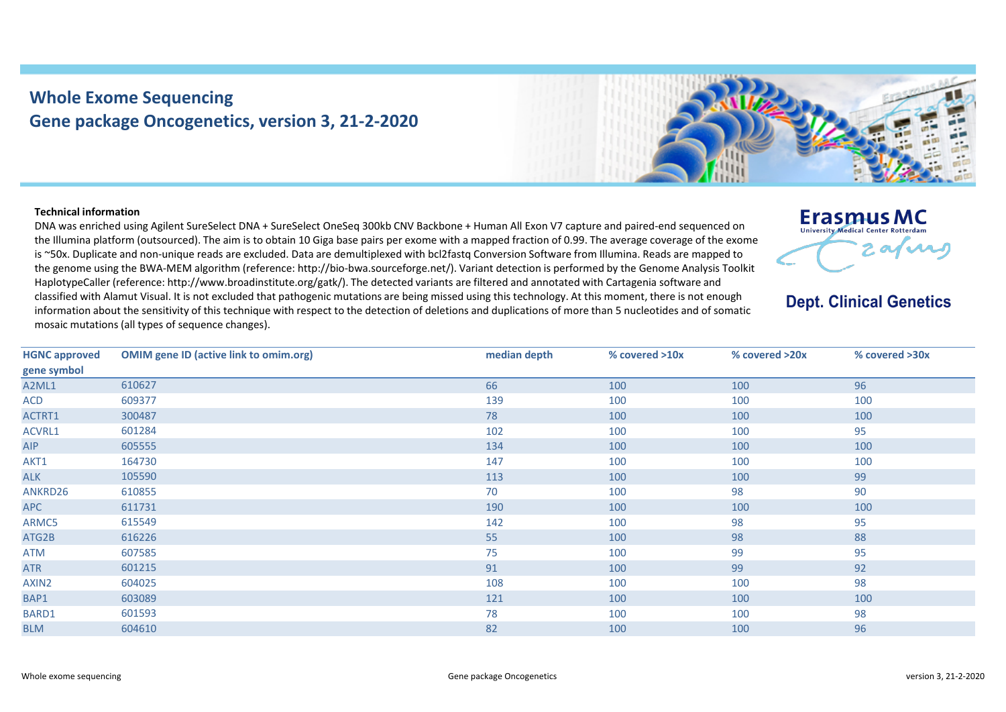## **Whole Exome Sequencing Gene package Oncogenetics, version 3, 21-2-2020**

## **Technical information**

DNA was enriched using Agilent SureSelect DNA + SureSelect OneSeq 300kb CNV Backbone + Human All Exon V7 capture and paired-end sequenced on the Illumina platform (outsourced). The aim is to obtain 10 Giga base pairs per exome with a mapped fraction of 0.99. The average coverage of the exome is ~50x. Duplicate and non-unique reads are excluded. Data are demultiplexed with bcl2fastq Conversion Software from Illumina. Reads are mapped to the genome using the BWA-MEM algorithm (reference: http://bio-bwa.sourceforge.net/). Variant detection is performed by the Genome Analysis Toolkit HaplotypeCaller (reference: http://www.broadinstitute.org/gatk/). The detected variants are filtered and annotated with Cartagenia software and classified with Alamut Visual. It is not excluded that pathogenic mutations are being missed using this technology. At this moment, there is not enough information about the sensitivity of this technique with respect to the detection of deletions and duplications of more than 5 nucleotides and of somatic mosaic mutations (all types of sequence changes).



## **Dept. Clinical Genetics**

| <b>HGNC approved</b> | <b>OMIM gene ID (active link to omim.org)</b> | median depth | % covered >10x | % covered >20x | % covered >30x |
|----------------------|-----------------------------------------------|--------------|----------------|----------------|----------------|
| gene symbol          |                                               |              |                |                |                |
| A2ML1                | 610627                                        | 66           | 100            | 100            | 96             |
| ACD                  | 609377                                        | 139          | 100            | 100            | 100            |
| ACTRT1               | 300487                                        | 78           | 100            | 100            | 100            |
| ACVRL1               | 601284                                        | 102          | 100            | 100            | 95             |
| <b>AIP</b>           | 605555                                        | 134          | 100            | 100            | 100            |
| AKT1                 | 164730                                        | 147          | 100            | 100            | 100            |
| <b>ALK</b>           | 105590                                        | 113          | 100            | 100            | 99             |
| ANKRD26              | 610855                                        | 70           | 100            | 98             | 90             |
| <b>APC</b>           | 611731                                        | 190          | 100            | 100            | 100            |
| ARMC5                | 615549                                        | 142          | 100            | 98             | 95             |
| ATG2B                | 616226                                        | 55           | 100            | 98             | 88             |
| <b>ATM</b>           | 607585                                        | 75           | 100            | 99             | 95             |
| <b>ATR</b>           | 601215                                        | 91           | 100            | 99             | 92             |
| AXIN2                | 604025                                        | 108          | 100            | 100            | 98             |
| BAP1                 | 603089                                        | 121          | 100            | 100            | 100            |
| BARD1                | 601593                                        | 78           | 100            | 100            | 98             |
| <b>BLM</b>           | 604610                                        | 82           | 100            | 100            | 96             |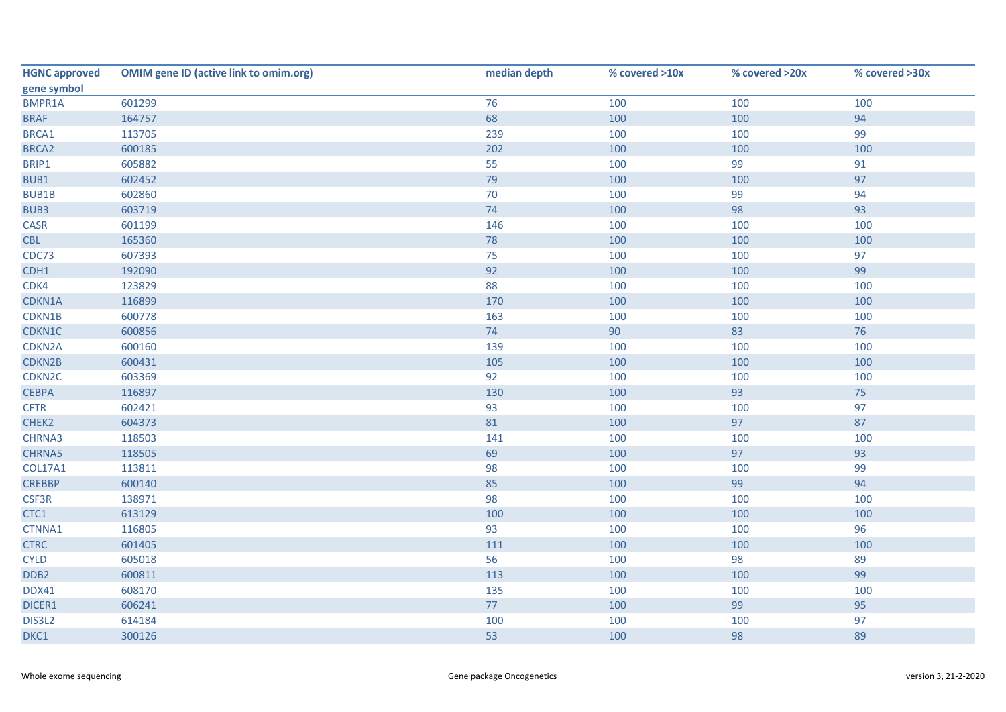| <b>HGNC approved</b> | <b>OMIM gene ID (active link to omim.org)</b> | median depth | % covered >10x | % covered >20x | % covered >30x |
|----------------------|-----------------------------------------------|--------------|----------------|----------------|----------------|
| gene symbol          |                                               |              |                |                |                |
| BMPR1A               | 601299                                        | 76           | 100            | 100            | 100            |
| <b>BRAF</b>          | 164757                                        | 68           | 100            | 100            | 94             |
| BRCA1                | 113705                                        | 239          | 100            | 100            | 99             |
| BRCA2                | 600185                                        | 202          | 100            | 100            | 100            |
| BRIP1                | 605882                                        | 55           | 100            | 99             | 91             |
| BUB1                 | 602452                                        | 79           | 100            | 100            | 97             |
| <b>BUB1B</b>         | 602860                                        | 70           | 100            | 99             | 94             |
| BUB3                 | 603719                                        | 74           | 100            | 98             | 93             |
| CASR                 | 601199                                        | 146          | 100            | 100            | 100            |
| <b>CBL</b>           | 165360                                        | 78           | 100            | 100            | 100            |
| CDC73                | 607393                                        | 75           | 100            | 100            | 97             |
| CDH1                 | 192090                                        | 92           | 100            | 100            | 99             |
| CDK4                 | 123829                                        | 88           | 100            | 100            | 100            |
| CDKN1A               | 116899                                        | 170          | 100            | 100            | 100            |
| CDKN1B               | 600778                                        | 163          | 100            | 100            | 100            |
| CDKN1C               | 600856                                        | 74           | 90             | 83             | 76             |
| CDKN2A               | 600160                                        | 139          | 100            | 100            | 100            |
| CDKN2B               | 600431                                        | 105          | 100            | 100            | 100            |
| CDKN <sub>2C</sub>   | 603369                                        | 92           | 100            | 100            | 100            |
| <b>CEBPA</b>         | 116897                                        | 130          | 100            | 93             | 75             |
| <b>CFTR</b>          | 602421                                        | 93           | 100            | 100            | 97             |
| CHEK2                | 604373                                        | 81           | 100            | 97             | 87             |
| CHRNA3               | 118503                                        | 141          | 100            | 100            | 100            |
| CHRNA5               | 118505                                        | 69           | 100            | 97             | 93             |
| <b>COL17A1</b>       | 113811                                        | 98           | 100            | 100            | 99             |
| <b>CREBBP</b>        | 600140                                        | 85           | 100            | 99             | 94             |
| CSF3R                | 138971                                        | 98           | 100            | 100            | 100            |
| CTC1                 | 613129                                        | 100          | 100            | 100            | 100            |
| CTNNA1               | 116805                                        | 93           | 100            | 100            | 96             |
| <b>CTRC</b>          | 601405                                        | 111          | 100            | 100            | 100            |
| <b>CYLD</b>          | 605018                                        | 56           | 100            | 98             | 89             |
| DDB <sub>2</sub>     | 600811                                        | 113          | 100            | 100            | 99             |
| DDX41                | 608170                                        | 135          | 100            | 100            | 100            |
| DICER1               | 606241                                        | 77           | 100            | 99             | 95             |
| DIS3L2               | 614184                                        | 100          | 100            | 100            | 97             |
| DKC1                 | 300126                                        | 53           | 100            | 98             | 89             |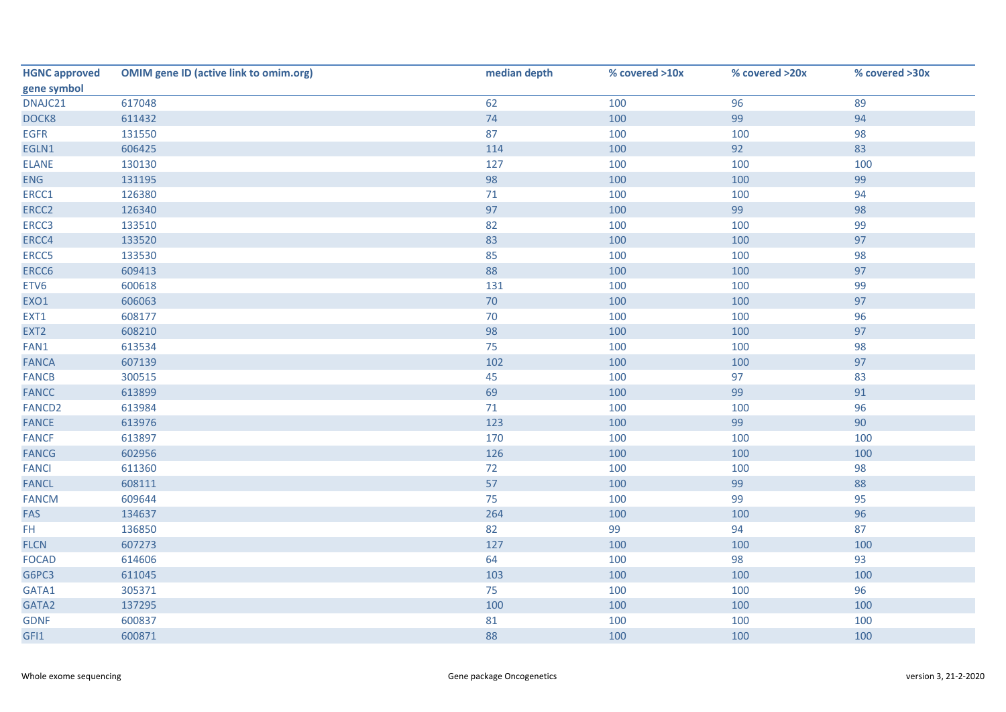| <b>HGNC approved</b> | <b>OMIM gene ID (active link to omim.org)</b> | median depth | % covered >10x | % covered >20x | % covered >30x |
|----------------------|-----------------------------------------------|--------------|----------------|----------------|----------------|
| gene symbol          |                                               |              |                |                |                |
| DNAJC21              | 617048                                        | 62           | 100            | 96             | 89             |
| DOCK8                | 611432                                        | 74           | 100            | 99             | 94             |
| <b>EGFR</b>          | 131550                                        | 87           | 100            | 100            | 98             |
| EGLN1                | 606425                                        | 114          | 100            | 92             | 83             |
| <b>ELANE</b>         | 130130                                        | 127          | 100            | 100            | 100            |
| <b>ENG</b>           | 131195                                        | 98           | 100            | 100            | 99             |
| ERCC1                | 126380                                        | $71\,$       | 100            | 100            | 94             |
| ERCC2                | 126340                                        | 97           | 100            | 99             | 98             |
| ERCC3                | 133510                                        | 82           | 100            | 100            | 99             |
| ERCC4                | 133520                                        | 83           | 100            | 100            | 97             |
| ERCC5                | 133530                                        | 85           | 100            | 100            | 98             |
| ERCC6                | 609413                                        | 88           | 100            | 100            | 97             |
| ETV6                 | 600618                                        | 131          | 100            | 100            | 99             |
| EXO1                 | 606063                                        | 70           | 100            | 100            | 97             |
| EXT1                 | 608177                                        | 70           | 100            | 100            | 96             |
| EXT2                 | 608210                                        | 98           | 100            | 100            | 97             |
| FAN1                 | 613534                                        | 75           | 100            | 100            | 98             |
| <b>FANCA</b>         | 607139                                        | 102          | 100            | 100            | 97             |
| <b>FANCB</b>         | 300515                                        | 45           | 100            | 97             | 83             |
| <b>FANCC</b>         | 613899                                        | 69           | 100            | 99             | 91             |
| FANCD <sub>2</sub>   | 613984                                        | 71           | 100            | 100            | 96             |
| <b>FANCE</b>         | 613976                                        | 123          | 100            | 99             | 90             |
| <b>FANCF</b>         | 613897                                        | 170          | 100            | 100            | 100            |
| <b>FANCG</b>         | 602956                                        | 126          | 100            | 100            | 100            |
| <b>FANCI</b>         | 611360                                        | 72           | 100            | 100            | 98             |
| <b>FANCL</b>         | 608111                                        | 57           | 100            | 99             | 88             |
| <b>FANCM</b>         | 609644                                        | 75           | 100            | 99             | 95             |
| FAS                  | 134637                                        | 264          | 100            | 100            | 96             |
| FH.                  | 136850                                        | 82           | 99             | 94             | 87             |
| <b>FLCN</b>          | 607273                                        | 127          | 100            | 100            | 100            |
| <b>FOCAD</b>         | 614606                                        | 64           | 100            | 98             | 93             |
| G6PC3                | 611045                                        | 103          | 100            | 100            | 100            |
| GATA1                | 305371                                        | 75           | 100            | 100            | 96             |
| GATA2                | 137295                                        | 100          | 100            | 100            | 100            |
| <b>GDNF</b>          | 600837                                        | 81           | 100            | 100            | 100            |
| GFI1                 | 600871                                        | 88           | 100            | 100            | 100            |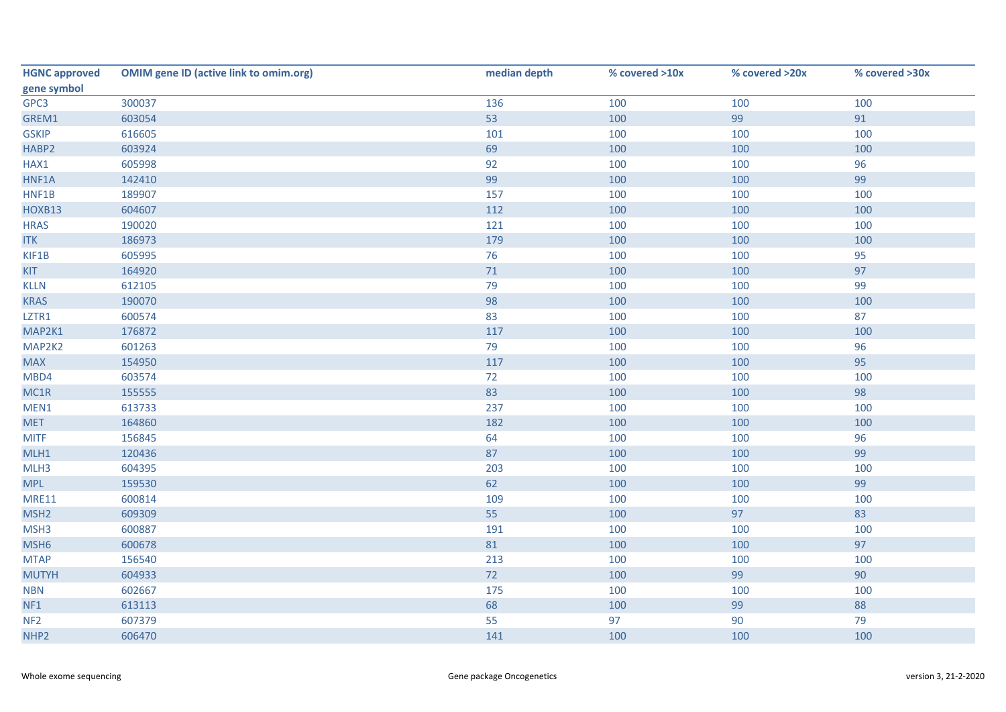| <b>HGNC approved</b> | <b>OMIM gene ID (active link to omim.org)</b> | median depth | % covered >10x | % covered >20x | % covered >30x |
|----------------------|-----------------------------------------------|--------------|----------------|----------------|----------------|
| gene symbol          |                                               |              |                |                |                |
| GPC3                 | 300037                                        | 136          | 100            | 100            | 100            |
| GREM1                | 603054                                        | 53           | 100            | 99             | 91             |
| <b>GSKIP</b>         | 616605                                        | 101          | 100            | 100            | 100            |
| HABP2                | 603924                                        | 69           | 100            | 100            | 100            |
| HAX1                 | 605998                                        | 92           | 100            | 100            | 96             |
| HNF1A                | 142410                                        | 99           | 100            | 100            | 99             |
| HNF1B                | 189907                                        | 157          | 100            | 100            | 100            |
| HOXB13               | 604607                                        | 112          | 100            | 100            | 100            |
| <b>HRAS</b>          | 190020                                        | 121          | 100            | 100            | 100            |
| <b>ITK</b>           | 186973                                        | 179          | 100            | 100            | 100            |
| KIF1B                | 605995                                        | 76           | 100            | 100            | 95             |
| KIT                  | 164920                                        | $71\,$       | 100            | 100            | 97             |
| <b>KLLN</b>          | 612105                                        | 79           | 100            | 100            | 99             |
| <b>KRAS</b>          | 190070                                        | 98           | 100            | 100            | 100            |
| LZTR1                | 600574                                        | 83           | 100            | 100            | 87             |
| MAP2K1               | 176872                                        | 117          | 100            | 100            | 100            |
| MAP2K2               | 601263                                        | 79           | 100            | 100            | 96             |
| <b>MAX</b>           | 154950                                        | 117          | 100            | 100            | 95             |
| MBD4                 | 603574                                        | 72           | 100            | 100            | 100            |
| MC1R                 | 155555                                        | 83           | 100            | 100            | 98             |
| MEN1                 | 613733                                        | 237          | 100            | 100            | 100            |
| <b>MET</b>           | 164860                                        | 182          | 100            | 100            | 100            |
| <b>MITF</b>          | 156845                                        | 64           | 100            | 100            | 96             |
| MLH1                 | 120436                                        | 87           | 100            | 100            | 99             |
| MLH3                 | 604395                                        | 203          | 100            | 100            | 100            |
| <b>MPL</b>           | 159530                                        | 62           | 100            | 100            | 99             |
| <b>MRE11</b>         | 600814                                        | 109          | 100            | 100            | 100            |
| MSH <sub>2</sub>     | 609309                                        | 55           | 100            | 97             | 83             |
| MSH3                 | 600887                                        | 191          | 100            | 100            | 100            |
| MSH <sub>6</sub>     | 600678                                        | 81           | 100            | 100            | 97             |
| <b>MTAP</b>          | 156540                                        | 213          | 100            | 100            | 100            |
| <b>MUTYH</b>         | 604933                                        | 72           | 100            | 99             | 90             |
| <b>NBN</b>           | 602667                                        | 175          | 100            | 100            | 100            |
| NF1                  | 613113                                        | 68           | 100            | 99             | 88             |
| NF <sub>2</sub>      | 607379                                        | 55           | 97             | 90             | 79             |
| NHP <sub>2</sub>     | 606470                                        | 141          | 100            | 100            | 100            |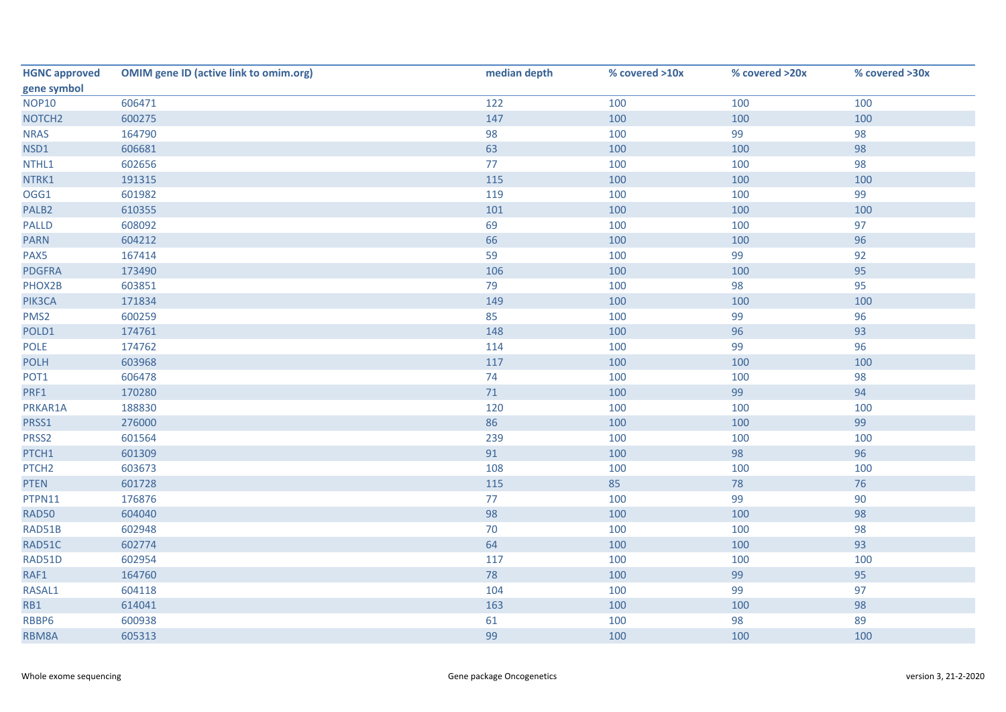| <b>HGNC approved</b> | <b>OMIM gene ID (active link to omim.org)</b> | median depth | % covered >10x | % covered >20x | % covered >30x |
|----------------------|-----------------------------------------------|--------------|----------------|----------------|----------------|
| gene symbol          |                                               |              |                |                |                |
| <b>NOP10</b>         | 606471                                        | 122          | 100            | 100            | 100            |
| NOTCH <sub>2</sub>   | 600275                                        | 147          | 100            | 100            | 100            |
| <b>NRAS</b>          | 164790                                        | 98           | 100            | 99             | 98             |
| NSD1                 | 606681                                        | 63           | 100            | 100            | 98             |
| NTHL1                | 602656                                        | 77           | 100            | 100            | 98             |
| NTRK1                | 191315                                        | 115          | 100            | 100            | 100            |
| OGG1                 | 601982                                        | 119          | 100            | 100            | 99             |
| PALB <sub>2</sub>    | 610355                                        | 101          | 100            | 100            | 100            |
| <b>PALLD</b>         | 608092                                        | 69           | 100            | 100            | 97             |
| <b>PARN</b>          | 604212                                        | 66           | 100            | 100            | 96             |
| PAX5                 | 167414                                        | 59           | 100            | 99             | 92             |
| <b>PDGFRA</b>        | 173490                                        | 106          | 100            | 100            | 95             |
| PHOX2B               | 603851                                        | 79           | 100            | 98             | 95             |
| PIK3CA               | 171834                                        | 149          | 100            | 100            | 100            |
| PMS <sub>2</sub>     | 600259                                        | 85           | 100            | 99             | 96             |
| POLD1                | 174761                                        | 148          | 100            | 96             | 93             |
| POLE                 | 174762                                        | 114          | 100            | 99             | 96             |
| <b>POLH</b>          | 603968                                        | 117          | 100            | 100            | 100            |
| POT1                 | 606478                                        | 74           | 100            | 100            | 98             |
| PRF1                 | 170280                                        | $71$         | 100            | 99             | 94             |
| PRKAR1A              | 188830                                        | 120          | 100            | 100            | 100            |
| PRSS1                | 276000                                        | 86           | 100            | 100            | 99             |
| PRSS2                | 601564                                        | 239          | 100            | 100            | 100            |
| PTCH1                | 601309                                        | 91           | 100            | 98             | 96             |
| PTCH <sub>2</sub>    | 603673                                        | 108          | 100            | 100            | 100            |
| <b>PTEN</b>          | 601728                                        | 115          | 85             | 78             | 76             |
| PTPN11               | 176876                                        | 77           | 100            | 99             | 90             |
| <b>RAD50</b>         | 604040                                        | 98           | 100            | 100            | 98             |
| RAD51B               | 602948                                        | 70           | 100            | 100            | 98             |
| RAD51C               | 602774                                        | 64           | 100            | 100            | 93             |
| RAD51D               | 602954                                        | 117          | 100            | 100            | 100            |
| RAF1                 | 164760                                        | 78           | 100            | 99             | 95             |
| RASAL1               | 604118                                        | 104          | 100            | 99             | 97             |
| RB1                  | 614041                                        | 163          | 100            | 100            | 98             |
| RBBP6                | 600938                                        | 61           | 100            | 98             | 89             |
| RBM8A                | 605313                                        | 99           | 100            | 100            | 100            |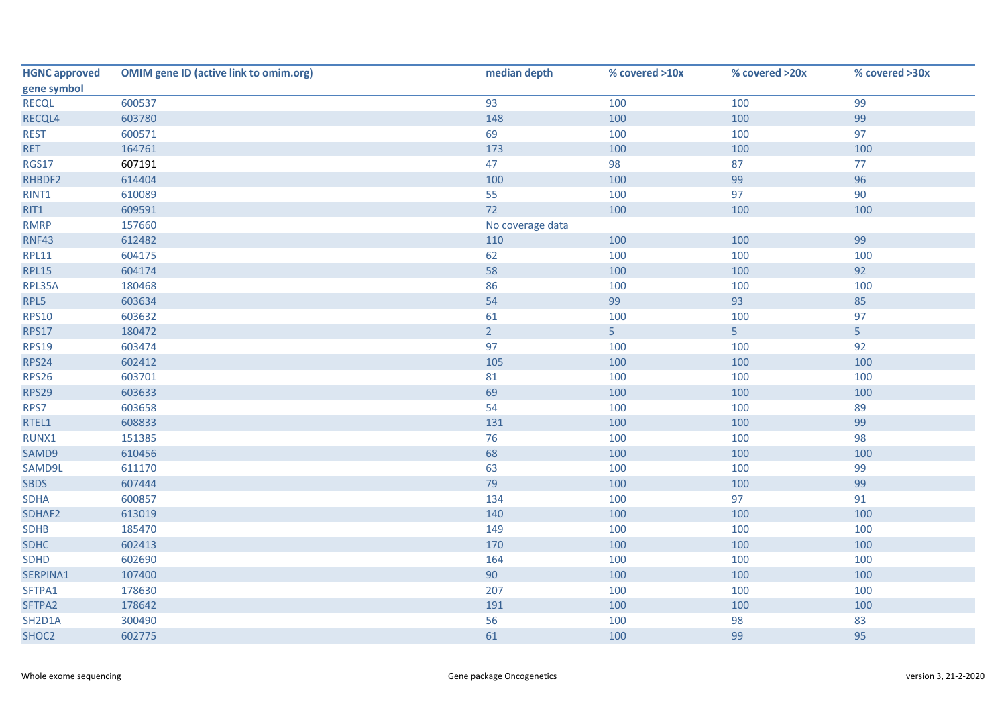| <b>HGNC approved</b> | <b>OMIM gene ID (active link to omim.org)</b> | median depth     | % covered >10x | % covered >20x | % covered >30x |
|----------------------|-----------------------------------------------|------------------|----------------|----------------|----------------|
| gene symbol          |                                               |                  |                |                |                |
| <b>RECQL</b>         | 600537                                        | 93               | 100            | 100            | 99             |
| RECQL4               | 603780                                        | 148              | 100            | 100            | 99             |
| <b>REST</b>          | 600571                                        | 69               | 100            | 100            | 97             |
| <b>RET</b>           | 164761                                        | 173              | 100            | 100            | 100            |
| <b>RGS17</b>         | 607191                                        | 47               | 98             | 87             | 77             |
| RHBDF2               | 614404                                        | 100              | 100            | 99             | 96             |
| RINT1                | 610089                                        | 55               | 100            | 97             | 90             |
| RIT1                 | 609591                                        | $72$             | 100            | 100            | 100            |
| <b>RMRP</b>          | 157660                                        | No coverage data |                |                |                |
| <b>RNF43</b>         | 612482                                        | 110              | 100            | 100            | 99             |
| <b>RPL11</b>         | 604175                                        | 62               | 100            | 100            | 100            |
| <b>RPL15</b>         | 604174                                        | 58               | 100            | 100            | 92             |
| RPL35A               | 180468                                        | 86               | 100            | 100            | 100            |
| RPL5                 | 603634                                        | 54               | 99             | 93             | 85             |
| <b>RPS10</b>         | 603632                                        | 61               | 100            | 100            | 97             |
| <b>RPS17</b>         | 180472                                        | 2 <sup>1</sup>   | 5 <sup>1</sup> | 5 <sup>1</sup> | 5 <sup>1</sup> |
| <b>RPS19</b>         | 603474                                        | 97               | 100            | 100            | 92             |
| <b>RPS24</b>         | 602412                                        | 105              | 100            | 100            | 100            |
| <b>RPS26</b>         | 603701                                        | 81               | 100            | 100            | 100            |
| <b>RPS29</b>         | 603633                                        | 69               | 100            | 100            | 100            |
| RPS7                 | 603658                                        | 54               | 100            | 100            | 89             |
| RTEL1                | 608833                                        | 131              | 100            | 100            | 99             |
| RUNX1                | 151385                                        | 76               | 100            | 100            | 98             |
| SAMD9                | 610456                                        | 68               | 100            | 100            | 100            |
| SAMD9L               | 611170                                        | 63               | 100            | 100            | 99             |
| <b>SBDS</b>          | 607444                                        | 79               | 100            | 100            | 99             |
| <b>SDHA</b>          | 600857                                        | 134              | 100            | 97             | 91             |
| SDHAF2               | 613019                                        | 140              | 100            | 100            | 100            |
| SDHB                 | 185470                                        | 149              | 100            | 100            | 100            |
| <b>SDHC</b>          | 602413                                        | 170              | 100            | 100            | 100            |
| SDHD                 | 602690                                        | 164              | 100            | 100            | 100            |
| SERPINA1             | 107400                                        | 90               | 100            | 100            | 100            |
| SFTPA1               | 178630                                        | 207              | 100            | 100            | 100            |
| SFTPA2               | 178642                                        | 191              | 100            | 100            | 100            |
| SH2D1A               | 300490                                        | 56               | 100            | 98             | 83             |
| SHOC2                | 602775                                        | 61               | 100            | 99             | 95             |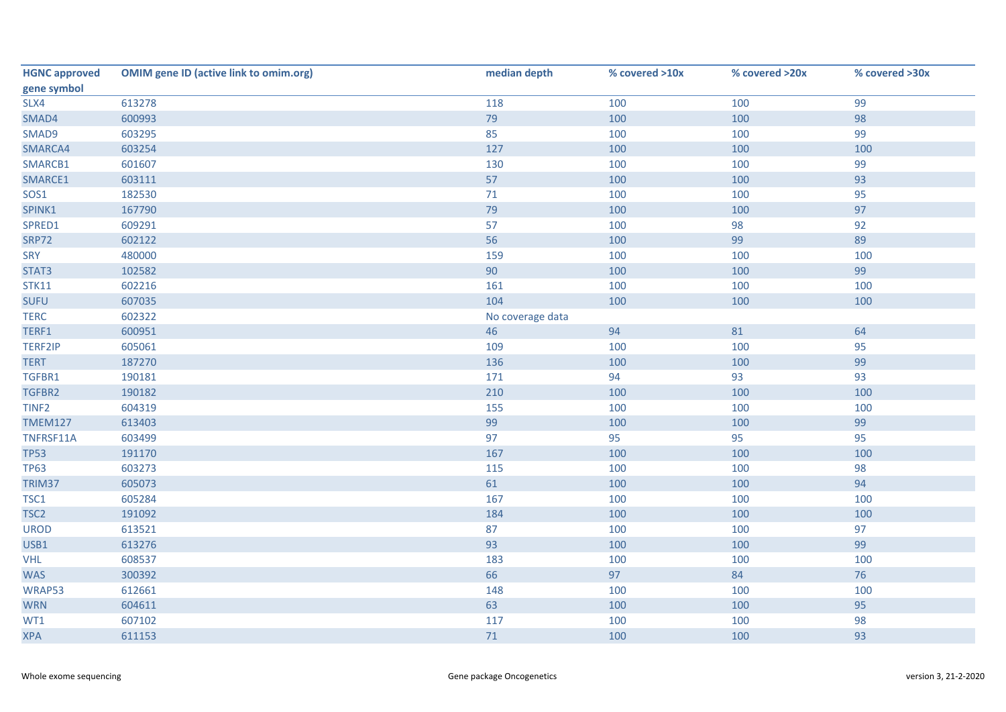| <b>HGNC approved</b> | <b>OMIM gene ID (active link to omim.org)</b> | median depth     | % covered >10x | % covered >20x | % covered >30x |
|----------------------|-----------------------------------------------|------------------|----------------|----------------|----------------|
| gene symbol          |                                               |                  |                |                |                |
| SLX4                 | 613278                                        | 118              | 100            | 100            | 99             |
| SMAD4                | 600993                                        | 79               | 100            | 100            | 98             |
| SMAD9                | 603295                                        | 85               | 100            | 100            | 99             |
| SMARCA4              | 603254                                        | 127              | 100            | 100            | 100            |
| SMARCB1              | 601607                                        | 130              | 100            | 100            | 99             |
| SMARCE1              | 603111                                        | 57               | 100            | 100            | 93             |
| <b>SOS1</b>          | 182530                                        | 71               | 100            | 100            | 95             |
| SPINK1               | 167790                                        | 79               | 100            | 100            | 97             |
| SPRED1               | 609291                                        | 57               | 100            | 98             | 92             |
| <b>SRP72</b>         | 602122                                        | 56               | 100            | 99             | 89             |
| <b>SRY</b>           | 480000                                        | 159              | 100            | 100            | 100            |
| STAT3                | 102582                                        | 90               | 100            | 100            | 99             |
| <b>STK11</b>         | 602216                                        | 161              | 100            | 100            | 100            |
| <b>SUFU</b>          | 607035                                        | 104              | 100            | 100            | 100            |
| <b>TERC</b>          | 602322                                        | No coverage data |                |                |                |
| TERF1                | 600951                                        | 46               | 94             | 81             | 64             |
| <b>TERF2IP</b>       | 605061                                        | 109              | 100            | 100            | 95             |
| <b>TERT</b>          | 187270                                        | 136              | 100            | 100            | 99             |
| TGFBR1               | 190181                                        | 171              | 94             | 93             | 93             |
| TGFBR2               | 190182                                        | 210              | 100            | 100            | 100            |
| TINF <sub>2</sub>    | 604319                                        | 155              | 100            | 100            | 100            |
| <b>TMEM127</b>       | 613403                                        | 99               | 100            | 100            | 99             |
| TNFRSF11A            | 603499                                        | 97               | 95             | 95             | 95             |
| <b>TP53</b>          | 191170                                        | 167              | 100            | 100            | 100            |
| <b>TP63</b>          | 603273                                        | 115              | 100            | 100            | 98             |
| TRIM37               | 605073                                        | 61               | 100            | 100            | 94             |
| TSC1                 | 605284                                        | 167              | 100            | 100            | 100            |
| TSC <sub>2</sub>     | 191092                                        | 184              | 100            | 100            | 100            |
| <b>UROD</b>          | 613521                                        | 87               | 100            | 100            | 97             |
| USB1                 | 613276                                        | 93               | 100            | 100            | 99             |
| <b>VHL</b>           | 608537                                        | 183              | 100            | 100            | 100            |
| <b>WAS</b>           | 300392                                        | 66               | 97             | 84             | 76             |
| WRAP53               | 612661                                        | 148              | 100            | 100            | 100            |
| <b>WRN</b>           | 604611                                        | 63               | 100            | 100            | 95             |
| WT1                  | 607102                                        | 117              | 100            | 100            | 98             |
| <b>XPA</b>           | 611153                                        | 71               | 100            | 100            | 93             |